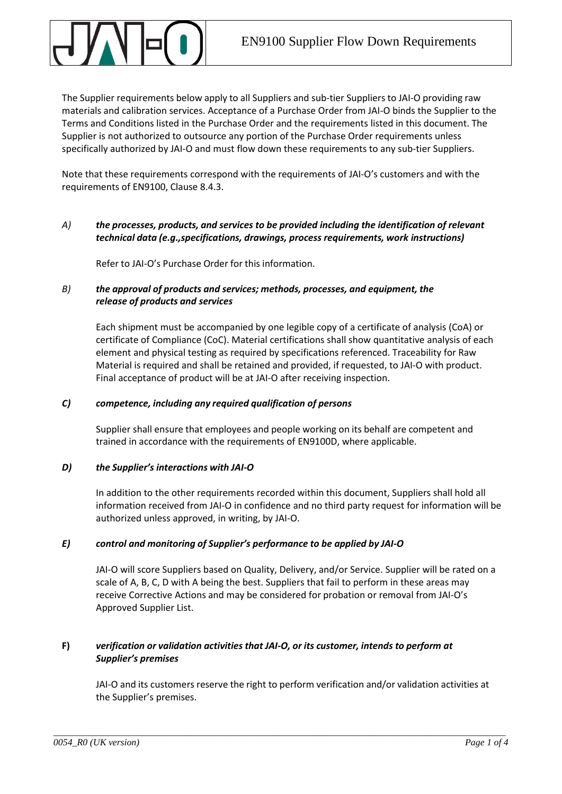The Supplier requirements below apply to all Suppliers and sub-tier Suppliers to JAI-O providing raw materials and calibration services. Acceptance of a Purchase Order from JAI-O binds the Supplier to the Terms and Conditions listed in the Purchase Order and the requirements listed in this document. The Supplier is not authorized to outsource any portion of the Purchase Order requirements unless specifically authorized by JAI-O and must flow down these requirements to any sub-tier Suppliers.

Note that these requirements correspond with the requirements of JAI-O's customers and with the requirements of EN9100, Clause 8.4.3.

# *A) the processes, products, and services to be provided including the identification of relevant technical data (e.g.,specifications, drawings, process requirements, work instructions)*

Refer to JAI-O's Purchase Order for this information.

# *B) the approval of products and services; methods, processes, and equipment, the release of products and services*

Each shipment must be accompanied by one legible copy of a certificate of analysis (CoA) or certificate of Compliance (CoC). Material certifications shall show quantitative analysis of each element and physical testing as required by specifications referenced. Traceability for Raw Material is required and shall be retained and provided, if requested, to JAI-O with product. Final acceptance of product will be at JAI-O after receiving inspection.

# *C) competence, including any required qualification of persons*

Supplier shall ensure that employees and people working on its behalf are competent and trained in accordance with the requirements of EN9100D, where applicable.

# *D) the Supplier's interactions with JAI-O*

In addition to the other requirements recorded within this document, Suppliers shall hold all information received from JAI-O in confidence and no third party request for information will be authorized unless approved, in writing, by JAI-O.

# *E) control and monitoring of Supplier's performance to be applied by JAI-O*

JAI-O will score Suppliers based on Quality, Delivery, and/or Service. Supplier will be rated on a scale of A, B, C, D with A being the best. Suppliers that fail to perform in these areas may receive Corrective Actions and may be considered for probation or removal from JAI-O's Approved Supplier List.

# **F)** *verification or validation activities that JAI-O, or its customer, intends to perform at Supplier's premises*

JAI-O and its customers reserve the right to perform verification and/or validation activities at the Supplier's premises.

\_\_\_\_\_\_\_\_\_\_\_\_\_\_\_\_\_\_\_\_\_\_\_\_\_\_\_\_\_\_\_\_\_\_\_\_\_\_\_\_\_\_\_\_\_\_\_\_\_\_\_\_\_\_\_\_\_\_\_\_\_\_\_\_\_\_\_\_\_\_\_\_\_\_\_\_\_\_\_\_\_\_\_\_\_\_\_\_\_\_\_\_\_\_\_\_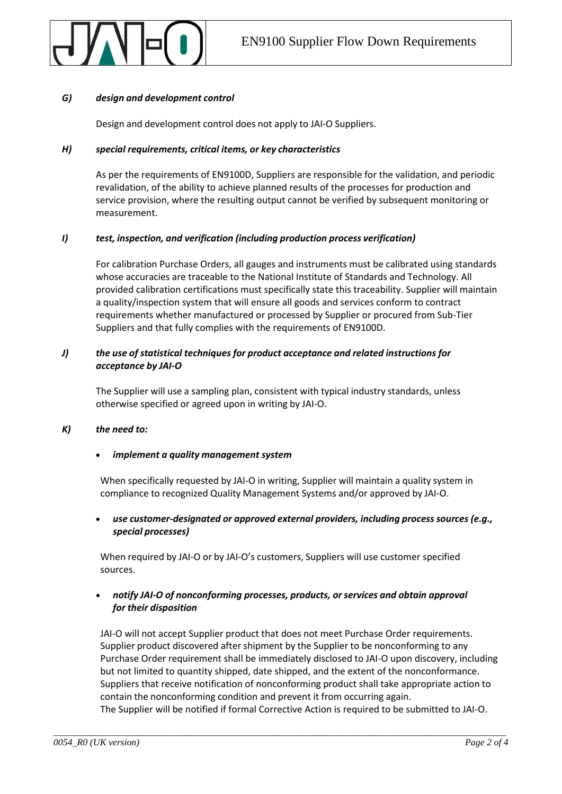

### *G) design and development control*

Design and development control does not apply to JAI-O Suppliers.

### *H) special requirements, critical items, or key characteristics*

As per the requirements of EN9100D, Suppliers are responsible for the validation, and periodic revalidation, of the ability to achieve planned results of the processes for production and service provision, where the resulting output cannot be verified by subsequent monitoring or measurement.

## *I) test, inspection, and verification (including production process verification)*

For calibration Purchase Orders, all gauges and instruments must be calibrated using standards whose accuracies are traceable to the National Institute of Standards and Technology. All provided calibration certifications must specifically state this traceability. Supplier will maintain a quality/inspection system that will ensure all goods and services conform to contract requirements whether manufactured or processed by Supplier or procured from Sub-Tier Suppliers and that fully complies with the requirements of EN9100D.

# *J) the use of statistical techniques for product acceptance and related instructions for acceptance by JAI-O*

The Supplier will use a sampling plan, consistent with typical industry standards, unless otherwise specified or agreed upon in writing by JAI-O.

### *K) the need to:*

### • *implement a quality management system*

When specifically requested by JAI-O in writing, Supplier will maintain a quality system in compliance to recognized Quality Management Systems and/or approved by JAI-O.

• *use customer-designated or approved external providers, including process sources (e.g., special processes)*

When required by JAI-O or by JAI-O's customers, Suppliers will use customer specified sources.

## • *notify JAI-O of nonconforming processes, products, orservices and obtain approval for their disposition*

JAI-O will not accept Supplier product that does not meet Purchase Order requirements. Supplier product discovered after shipment by the Supplier to be nonconforming to any Purchase Order requirement shall be immediately disclosed to JAI-O upon discovery, including but not limited to quantity shipped, date shipped, and the extent of the nonconformance. Suppliers that receive notification of nonconforming product shall take appropriate action to contain the nonconforming condition and prevent it from occurring again.

The Supplier will be notified if formal Corrective Action is required to be submitted to JAI-O.

\_\_\_\_\_\_\_\_\_\_\_\_\_\_\_\_\_\_\_\_\_\_\_\_\_\_\_\_\_\_\_\_\_\_\_\_\_\_\_\_\_\_\_\_\_\_\_\_\_\_\_\_\_\_\_\_\_\_\_\_\_\_\_\_\_\_\_\_\_\_\_\_\_\_\_\_\_\_\_\_\_\_\_\_\_\_\_\_\_\_\_\_\_\_\_\_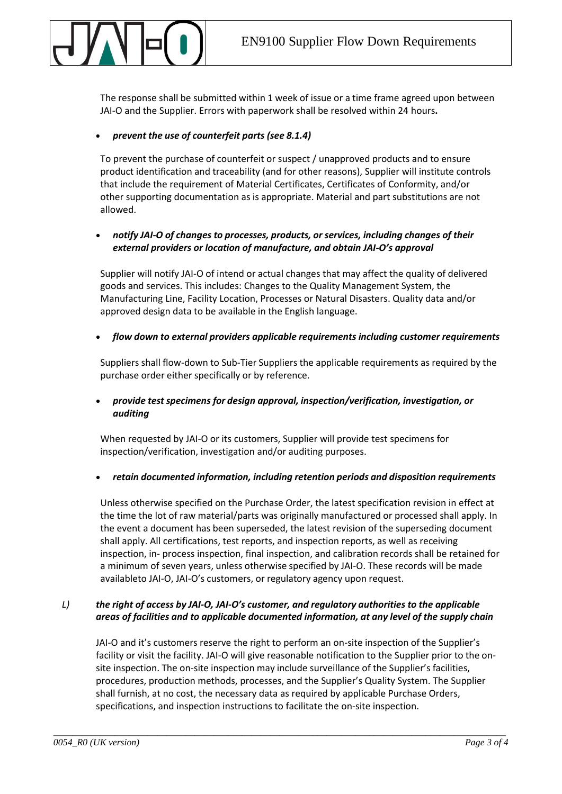The response shall be submitted within 1 week of issue or a time frame agreed upon between JAI-O and the Supplier. Errors with paperwork shall be resolved within 24 hours**.**

## • *prevent the use of counterfeit parts (see 8.1.4)*

To prevent the purchase of counterfeit or suspect / unapproved products and to ensure product identification and traceability (and for other reasons), Supplier will institute controls that include the requirement of Material Certificates, Certificates of Conformity, and/or other supporting documentation as is appropriate. Material and part substitutions are not allowed.

## • *notify JAI-O of changes to processes, products, or services, including changes of their external providers or location of manufacture, and obtain JAI-O's approval*

Supplier will notify JAI-O of intend or actual changes that may affect the quality of delivered goods and services. This includes: Changes to the Quality Management System, the Manufacturing Line, Facility Location, Processes or Natural Disasters. Quality data and/or approved design data to be available in the English language.

### • *flow down to external providers applicable requirements including customer requirements*

Suppliers shall flow-down to Sub-Tier Suppliers the applicable requirements as required by the purchase order either specifically or by reference.

# • *provide testspecimens for design approval, inspection/verification, investigation, or auditing*

When requested by JAI-O or its customers, Supplier will provide test specimens for inspection/verification, investigation and/or auditing purposes.

### • *retain documented information, including retention periods and disposition requirements*

Unless otherwise specified on the Purchase Order, the latest specification revision in effect at the time the lot of raw material/parts was originally manufactured or processed shall apply. In the event a document has been superseded, the latest revision of the superseding document shall apply. All certifications, test reports, and inspection reports, as well as receiving inspection, in- process inspection, final inspection, and calibration records shall be retained for a minimum of seven years, unless otherwise specified by JAI-O. These records will be made availableto JAI-O, JAI-O's customers, or regulatory agency upon request.

# *L) the right of access by JAI-O, JAI-O's customer, and regulatory authorities to the applicable areas of facilities and to applicable documented information, at any level of the supply chain*

\_\_\_\_\_\_\_\_\_\_\_\_\_\_\_\_\_\_\_\_\_\_\_\_\_\_\_\_\_\_\_\_\_\_\_\_\_\_\_\_\_\_\_\_\_\_\_\_\_\_\_\_\_\_\_\_\_\_\_\_\_\_\_\_\_\_\_\_\_\_\_\_\_\_\_\_\_\_\_\_\_\_\_\_\_\_\_\_\_\_\_\_\_\_\_\_

JAI-O and it's customers reserve the right to perform an on-site inspection of the Supplier's facility or visit the facility. JAI-O will give reasonable notification to the Supplier prior to the onsite inspection. The on-site inspection may include surveillance of the Supplier's facilities, procedures, production methods, processes, and the Supplier's Quality System. The Supplier shall furnish, at no cost, the necessary data as required by applicable Purchase Orders, specifications, and inspection instructions to facilitate the on-site inspection.